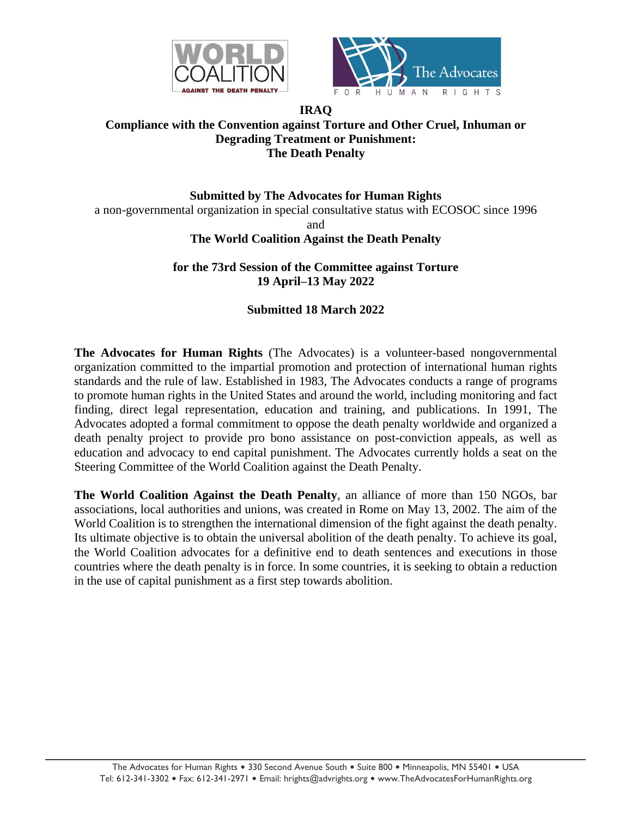



## **IRAQ Compliance with the Convention against Torture and Other Cruel, Inhuman or Degrading Treatment or Punishment: The Death Penalty**

**Submitted by The Advocates for Human Rights** a non-governmental organization in special consultative status with ECOSOC since 1996 and **The World Coalition Against the Death Penalty**

> **for the 73rd Session of the Committee against Torture 19 April–13 May 2022**

## **Submitted 18 March 2022**

**The Advocates for Human Rights** (The Advocates) is a volunteer-based nongovernmental organization committed to the impartial promotion and protection of international human rights standards and the rule of law. Established in 1983, The Advocates conducts a range of programs to promote human rights in the United States and around the world, including monitoring and fact finding, direct legal representation, education and training, and publications. In 1991, The Advocates adopted a formal commitment to oppose the death penalty worldwide and organized a death penalty project to provide pro bono assistance on post-conviction appeals, as well as education and advocacy to end capital punishment. The Advocates currently holds a seat on the Steering Committee of the World Coalition against the Death Penalty.

**The World Coalition Against the Death Penalty**, an alliance of more than 150 NGOs, bar associations, local authorities and unions, was created in Rome on May 13, 2002. The aim of the World Coalition is to strengthen the international dimension of the fight against the death penalty. Its ultimate objective is to obtain the universal abolition of the death penalty. To achieve its goal, the World Coalition advocates for a definitive end to death sentences and executions in those countries where the death penalty is in force. In some countries, it is seeking to obtain a reduction in the use of capital punishment as a first step towards abolition.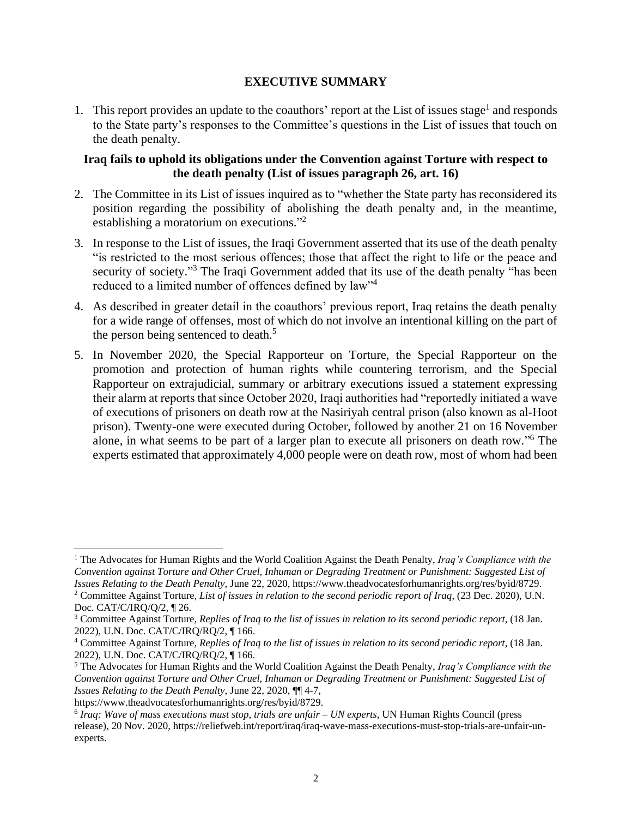## **EXECUTIVE SUMMARY**

1. This report provides an update to the coauthors' report at the List of issues stage<sup>1</sup> and responds to the State party's responses to the Committee's questions in the List of issues that touch on the death penalty.

## **Iraq fails to uphold its obligations under the Convention against Torture with respect to the death penalty (List of issues paragraph 26, art. 16)**

- 2. The Committee in its List of issues inquired as to "whether the State party has reconsidered its position regarding the possibility of abolishing the death penalty and, in the meantime, establishing a moratorium on executions."<sup>2</sup>
- 3. In response to the List of issues, the Iraqi Government asserted that its use of the death penalty "is restricted to the most serious offences; those that affect the right to life or the peace and security of society."<sup>3</sup> The Iraqi Government added that its use of the death penalty "has been reduced to a limited number of offences defined by law"<sup>4</sup>
- 4. As described in greater detail in the coauthors' previous report, Iraq retains the death penalty for a wide range of offenses, most of which do not involve an intentional killing on the part of the person being sentenced to death.<sup>5</sup>
- 5. In November 2020, the Special Rapporteur on Torture, the Special Rapporteur on the promotion and protection of human rights while countering terrorism, and the Special Rapporteur on extrajudicial, summary or arbitrary executions issued a statement expressing their alarm at reports that since October 2020, Iraqi authorities had "reportedly initiated a wave of executions of prisoners on death row at the Nasiriyah central prison (also known as al-Hoot prison). Twenty-one were executed during October, followed by another 21 on 16 November alone, in what seems to be part of a larger plan to execute all prisoners on death row." <sup>6</sup> The experts estimated that approximately 4,000 people were on death row, most of whom had been

<sup>1</sup> The Advocates for Human Rights and the World Coalition Against the Death Penalty, *Iraq's Compliance with the Convention against Torture and Other Cruel, Inhuman or Degrading Treatment or Punishment: Suggested List of Issues Relating to the Death Penalty*, June 22, 2020, https://www.theadvocatesforhumanrights.org/res/byid/8729. <sup>2</sup> Committee Against Torture, *List of issues in relation to the second periodic report of Iraq*, (23 Dec. 2020), U.N. Doc. CAT/C/IRQ/Q/2, ¶ 26.

<sup>3</sup> Committee Against Torture, *Replies of Iraq to the list of issues in relation to its second periodic report*, (18 Jan. 2022), U.N. Doc. CAT/C/IRQ/RQ/2, ¶ 166.

<sup>4</sup> Committee Against Torture, *Replies of Iraq to the list of issues in relation to its second periodic report*, (18 Jan. 2022), U.N. Doc. CAT/C/IRQ/RQ/2, ¶ 166.

<sup>5</sup> The Advocates for Human Rights and the World Coalition Against the Death Penalty, *Iraq's Compliance with the Convention against Torture and Other Cruel, Inhuman or Degrading Treatment or Punishment: Suggested List of Issues Relating to the Death Penalty*, June 22, 2020, ¶¶ 4-7,

https://www.theadvocatesforhumanrights.org/res/byid/8729.

<sup>6</sup> *Iraq: Wave of mass executions must stop, trials are unfair – UN experts*, UN Human Rights Council (press release), 20 Nov. 2020, https://reliefweb.int/report/iraq/iraq-wave-mass-executions-must-stop-trials-are-unfair-unexperts.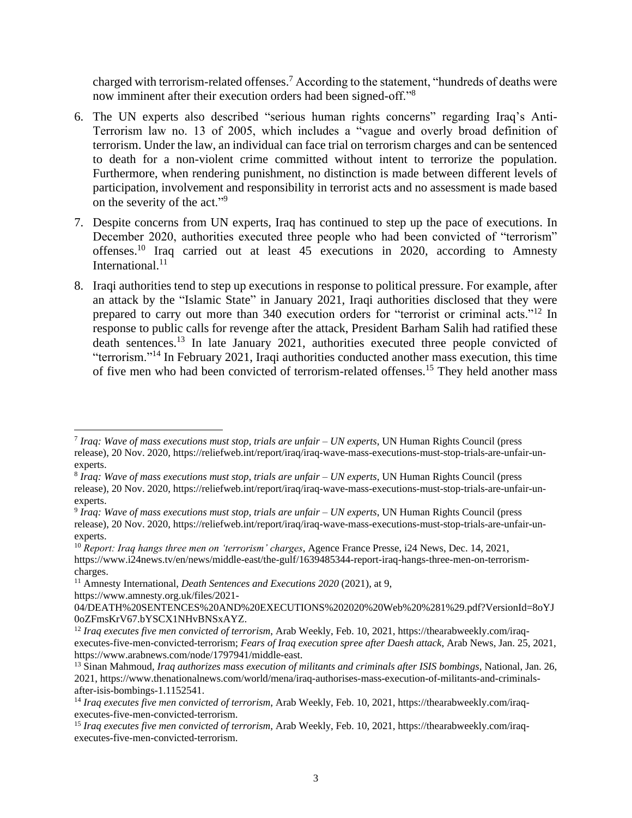charged with terrorism-related offenses. <sup>7</sup> According to the statement, "hundreds of deaths were now imminent after their execution orders had been signed-off."<sup>8</sup>

- 6. The UN experts also described "serious human rights concerns" regarding Iraq's Anti-Terrorism law no. 13 of 2005, which includes a "vague and overly broad definition of terrorism. Under the law, an individual can face trial on terrorism charges and can be sentenced to death for a non-violent crime committed without intent to terrorize the population. Furthermore, when rendering punishment, no distinction is made between different levels of participation, involvement and responsibility in terrorist acts and no assessment is made based on the severity of the act."<sup>9</sup>
- 7. Despite concerns from UN experts, Iraq has continued to step up the pace of executions. In December 2020, authorities executed three people who had been convicted of "terrorism" offenses.<sup>10</sup> Iraq carried out at least 45 executions in 2020, according to Amnesty International.<sup>11</sup>
- 8. Iraqi authorities tend to step up executions in response to political pressure. For example, after an attack by the "Islamic State" in January 2021, Iraqi authorities disclosed that they were prepared to carry out more than 340 execution orders for "terrorist or criminal acts."<sup>12</sup> In response to public calls for revenge after the attack, President Barham Salih had ratified these death sentences.<sup>13</sup> In late January 2021, authorities executed three people convicted of "terrorism."<sup>14</sup> In February 2021, Iraqi authorities conducted another mass execution, this time of five men who had been convicted of terrorism-related offenses.<sup>15</sup> They held another mass

- 8 *Iraq: Wave of mass executions must stop, trials are unfair – UN experts*, UN Human Rights Council (press release), 20 Nov. 2020, https://reliefweb.int/report/iraq/iraq-wave-mass-executions-must-stop-trials-are-unfair-unexperts.
- 9 *Iraq: Wave of mass executions must stop, trials are unfair – UN experts*, UN Human Rights Council (press release), 20 Nov. 2020, https://reliefweb.int/report/iraq/iraq-wave-mass-executions-must-stop-trials-are-unfair-unexperts.

<sup>7</sup> *Iraq: Wave of mass executions must stop, trials are unfair – UN experts*, UN Human Rights Council (press release), 20 Nov. 2020, https://reliefweb.int/report/iraq/iraq-wave-mass-executions-must-stop-trials-are-unfair-unexperts.

<sup>10</sup> *Report: Iraq hangs three men on 'terrorism' charges*, Agence France Presse, i24 News, Dec. 14, 2021, https://www.i24news.tv/en/news/middle-east/the-gulf/1639485344-report-iraq-hangs-three-men-on-terrorismcharges.

<sup>11</sup> Amnesty International, *Death Sentences and Executions 2020* (2021), at 9, https://www.amnesty.org.uk/files/2021-

<sup>04/</sup>DEATH%20SENTENCES%20AND%20EXECUTIONS%202020%20Web%20%281%29.pdf?VersionId=8oYJ 0oZFmsKrV67.bYSCX1NHvBNSxAYZ.

<sup>&</sup>lt;sup>12</sup> Iraq executes five men convicted of terrorism, Arab Weekly, Feb. 10, 2021, https://thearabweekly.com/iraqexecutes-five-men-convicted-terrorism; *Fears of Iraq execution spree after Daesh attack*, Arab News, Jan. 25, 2021, https://www.arabnews.com/node/1797941/middle-east.

<sup>13</sup> Sinan Mahmoud, *Iraq authorizes mass execution of militants and criminals after ISIS bombings*, National, Jan. 26, 2021, https://www.thenationalnews.com/world/mena/iraq-authorises-mass-execution-of-militants-and-criminalsafter-isis-bombings-1.1152541.

<sup>14</sup> *Iraq executes five men convicted of terrorism*, Arab Weekly, Feb. 10, 2021, https://thearabweekly.com/iraqexecutes-five-men-convicted-terrorism.

<sup>15</sup> *Iraq executes five men convicted of terrorism*, Arab Weekly, Feb. 10, 2021, https://thearabweekly.com/iraqexecutes-five-men-convicted-terrorism.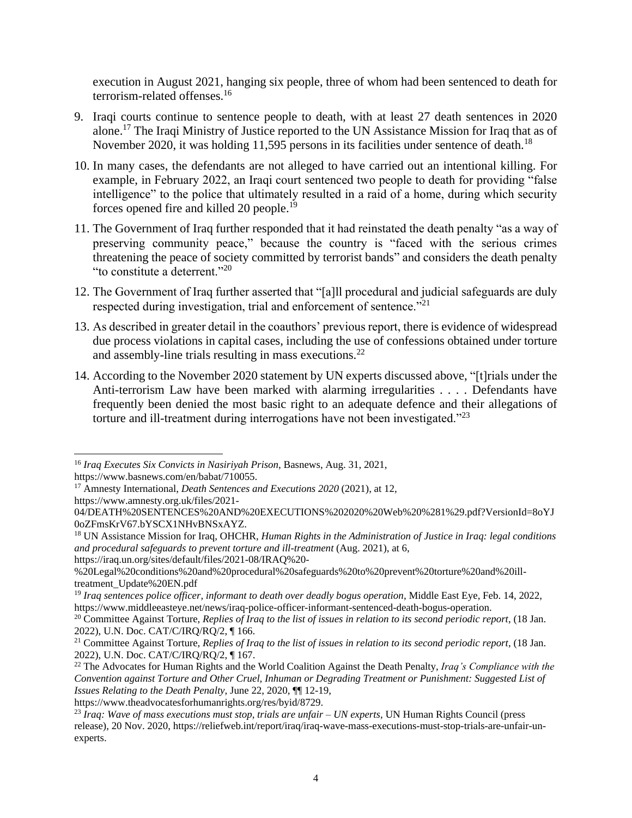execution in August 2021, hanging six people, three of whom had been sentenced to death for terrorism-related offenses.<sup>16</sup>

- 9. Iraqi courts continue to sentence people to death, with at least 27 death sentences in 2020 alone.<sup>17</sup> The Iraqi Ministry of Justice reported to the UN Assistance Mission for Iraq that as of November 2020, it was holding 11,595 persons in its facilities under sentence of death.<sup>18</sup>
- 10. In many cases, the defendants are not alleged to have carried out an intentional killing. For example, in February 2022, an Iraqi court sentenced two people to death for providing "false intelligence" to the police that ultimately resulted in a raid of a home, during which security forces opened fire and killed 20 people.<sup>19</sup>
- 11. The Government of Iraq further responded that it had reinstated the death penalty "as a way of preserving community peace," because the country is "faced with the serious crimes threatening the peace of society committed by terrorist bands" and considers the death penalty "to constitute a deterrent."<sup>20</sup>
- 12. The Government of Iraq further asserted that "[a]ll procedural and judicial safeguards are duly respected during investigation, trial and enforcement of sentence."<sup>21</sup>
- 13. As described in greater detail in the coauthors' previous report, there is evidence of widespread due process violations in capital cases, including the use of confessions obtained under torture and assembly-line trials resulting in mass executions.<sup>22</sup>
- 14. According to the November 2020 statement by UN experts discussed above, "[t]rials under the Anti-terrorism Law have been marked with alarming irregularities . . . . Defendants have frequently been denied the most basic right to an adequate defence and their allegations of torture and ill-treatment during interrogations have not been investigated."<sup>23</sup>

https://iraq.un.org/sites/default/files/2021-08/IRAQ%20-

https://www.theadvocatesforhumanrights.org/res/byid/8729.

<sup>16</sup> *Iraq Executes Six Convicts in Nasiriyah Prison*, Basnews, Aug. 31, 2021,

https://www.basnews.com/en/babat/710055.

<sup>17</sup> Amnesty International, *Death Sentences and Executions 2020* (2021), at 12,

https://www.amnesty.org.uk/files/2021-

<sup>04/</sup>DEATH%20SENTENCES%20AND%20EXECUTIONS%202020%20Web%20%281%29.pdf?VersionId=8oYJ 0oZFmsKrV67.bYSCX1NHvBNSxAYZ.

<sup>18</sup> UN Assistance Mission for Iraq, OHCHR, *Human Rights in the Administration of Justice in Iraq: legal conditions and procedural safeguards to prevent torture and ill-treatment* (Aug. 2021), at 6,

<sup>%20</sup>Legal%20conditions%20and%20procedural%20safeguards%20to%20prevent%20torture%20and%20illtreatment\_Update%20EN.pdf

<sup>&</sup>lt;sup>19</sup> *Iraq sentences police officer, informant to death over deadly bogus operation*, Middle East Eye, Feb. 14, 2022, https://www.middleeasteye.net/news/iraq-police-officer-informant-sentenced-death-bogus-operation.

<sup>20</sup> Committee Against Torture, *Replies of Iraq to the list of issues in relation to its second periodic report*, (18 Jan. 2022), U.N. Doc. CAT/C/IRQ/RQ/2, ¶ 166.

<sup>21</sup> Committee Against Torture, *Replies of Iraq to the list of issues in relation to its second periodic report*, (18 Jan. 2022), U.N. Doc. CAT/C/IRQ/RQ/2, ¶ 167.

<sup>22</sup> The Advocates for Human Rights and the World Coalition Against the Death Penalty, *Iraq's Compliance with the Convention against Torture and Other Cruel, Inhuman or Degrading Treatment or Punishment: Suggested List of Issues Relating to the Death Penalty*, June 22, 2020, ¶¶ 12-19,

<sup>23</sup> *Iraq: Wave of mass executions must stop, trials are unfair – UN experts*, UN Human Rights Council (press release), 20 Nov. 2020, https://reliefweb.int/report/iraq/iraq-wave-mass-executions-must-stop-trials-are-unfair-unexperts.